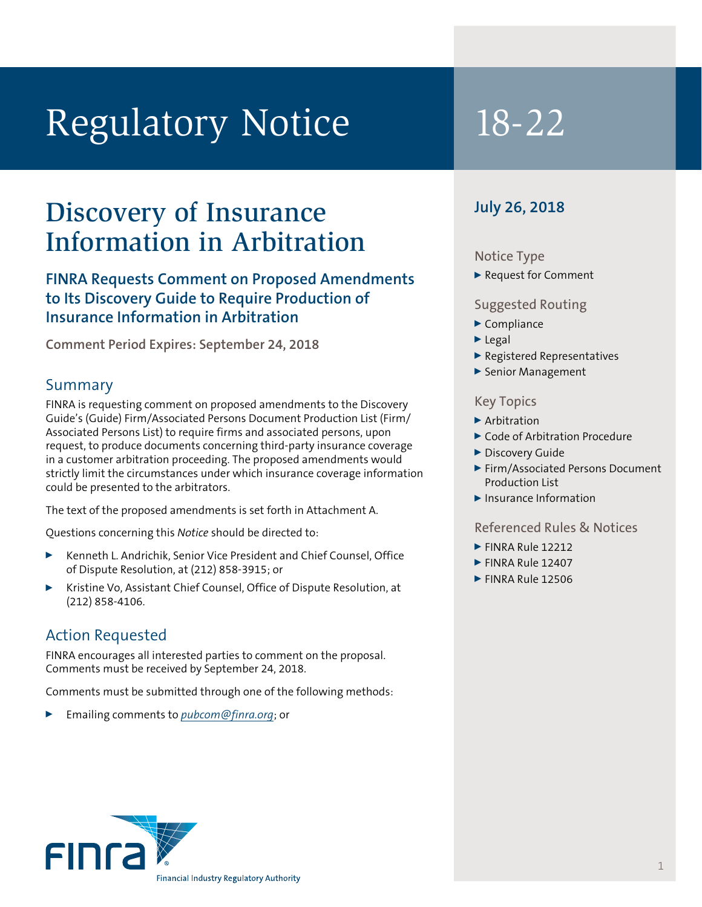# Regulatory Notice 18-22

## Discovery of Insurance Information in Arbitration

### **FINRA Requests Comment on Proposed Amendments to Its Discovery Guide to Require Production of Insurance Information in Arbitration**

**Comment Period Expires: September 24, 2018**

#### Summary

FINRA is requesting comment on proposed amendments to the Discovery Guide's (Guide) Firm/Associated Persons Document Production List (Firm/ Associated Persons List) to require firms and associated persons, upon request, to produce documents concerning third-party insurance coverage in a customer arbitration proceeding. The proposed amendments would strictly limit the circumstances under which insurance coverage information could be presented to the arbitrators.

The text of the proposed amendments is set forth in Attachment A.

Questions concerning this *Notice* should be directed to:

- <sup>0</sup> Kenneth L. Andrichik, Senior Vice President and Chief Counsel, Office of Dispute Resolution, at (212) 858-3915; or
- <sup>0</sup> Kristine Vo, Assistant Chief Counsel, Office of Dispute Resolution, at (212) 858-4106.

#### Action Requested

FINRA encourages all interested parties to comment on the proposal. Comments must be received by September 24, 2018.

Comments must be submitted through one of the following methods:

<sup>0</sup> Emailing comments to *pubcom@finra.org*; or

### **July 26, 2018**

#### Notice Type

▶ Request for Comment

#### Suggested Routing

- $\blacktriangleright$  Compliance
- $\blacktriangleright$  Legal
- <sup>0</sup> Registered Representatives
- ▶ Senior Management

#### Key Topics

- $\blacktriangleright$  Arbitration
- ▶ Code of Arbitration Procedure
- Discovery Guide
- ▶ Firm/Associated Persons Document Production List
- $\blacktriangleright$  Insurance Information

#### Referenced Rules & Notices

- $\blacktriangleright$  FINRA Rule 12212
- $\blacktriangleright$  FINRA Rule 12407
- $\blacktriangleright$  FINRA Rule 12506

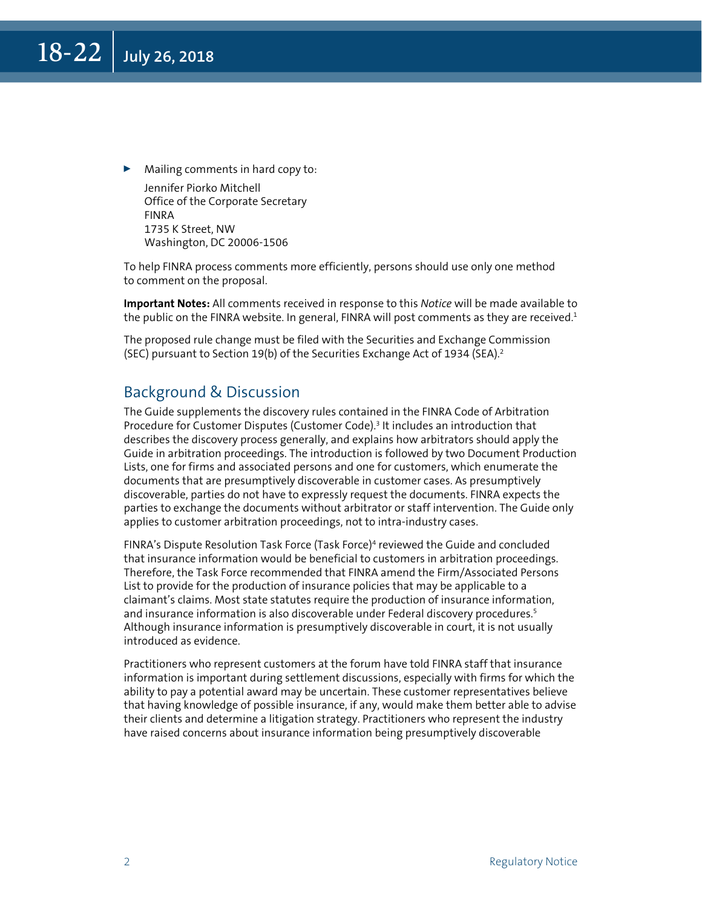Mailing comments in hard copy to: Jennifer Piorko Mitchell Office of the Corporate Secretary FINRA 1735 K Street, NW Washington, DC 20006-1506

To help FINRA process comments more efficiently, persons should use only one method to comment on the proposal.

**Important Notes:** All comments received in response to this *Notice* will be made available to the public on the FINRA website. In general, FINRA will post comments as they are received. $1$ 

The proposed rule change must be filed with the Securities and Exchange Commission (SEC) pursuant to Section 19(b) of the Securities Exchange Act of 1934 (SEA).<sup>2</sup>

#### Background & Discussion

The Guide supplements the discovery rules contained in the FINRA Code of Arbitration Procedure for Customer Disputes (Customer Code).<sup>3</sup> It includes an introduction that describes the discovery process generally, and explains how arbitrators should apply the Guide in arbitration proceedings. The introduction is followed by two Document Production Lists, one for firms and associated persons and one for customers, which enumerate the documents that are presumptively discoverable in customer cases. As presumptively discoverable, parties do not have to expressly request the documents. FINRA expects the parties to exchange the documents without arbitrator or staff intervention. The Guide only applies to customer arbitration proceedings, not to intra-industry cases.

FINRA's Dispute Resolution Task Force (Task Force)<sup>4</sup> reviewed the Guide and concluded that insurance information would be beneficial to customers in arbitration proceedings. Therefore, the Task Force recommended that FINRA amend the Firm/Associated Persons List to provide for the production of insurance policies that may be applicable to a claimant's claims. Most state statutes require the production of insurance information, and insurance information is also discoverable under Federal discovery procedures.<sup>5</sup> Although insurance information is presumptively discoverable in court, it is not usually introduced as evidence.

Practitioners who represent customers at the forum have told FINRA staff that insurance information is important during settlement discussions, especially with firms for which the ability to pay a potential award may be uncertain. These customer representatives believe that having knowledge of possible insurance, if any, would make them better able to advise their clients and determine a litigation strategy. Practitioners who represent the industry have raised concerns about insurance information being presumptively discoverable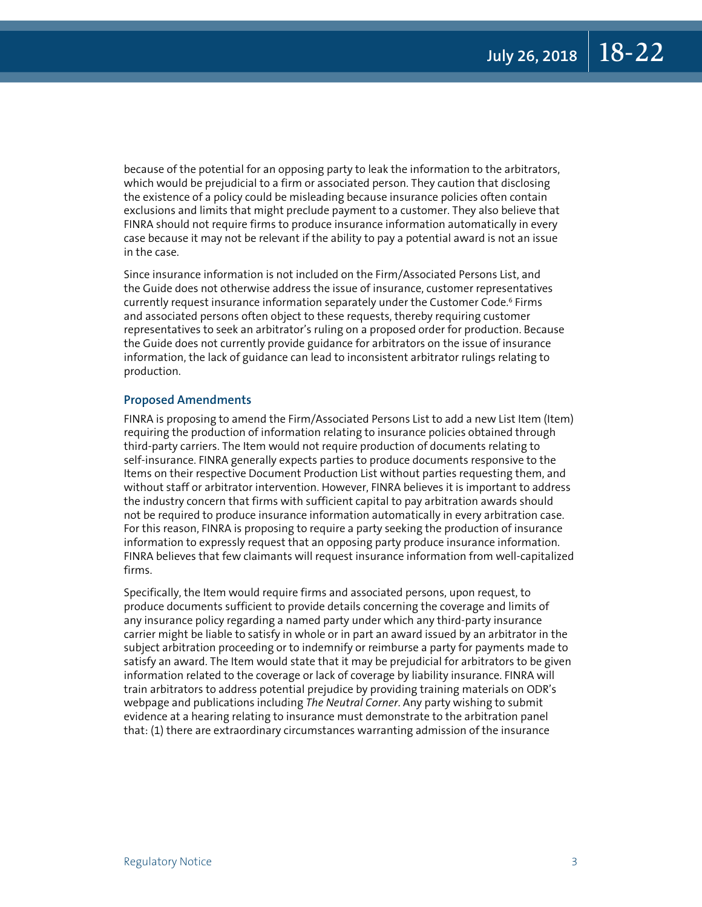because of the potential for an opposing party to leak the information to the arbitrators, which would be prejudicial to a firm or associated person. They caution that disclosing the existence of a policy could be misleading because insurance policies often contain exclusions and limits that might preclude payment to a customer. They also believe that FINRA should not require firms to produce insurance information automatically in every case because it may not be relevant if the ability to pay a potential award is not an issue in the case.

Since insurance information is not included on the Firm/Associated Persons List, and the Guide does not otherwise address the issue of insurance, customer representatives currently request insurance information separately under the Customer Code.<sup>6</sup> Firms and associated persons often object to these requests, thereby requiring customer representatives to seek an arbitrator's ruling on a proposed order for production. Because the Guide does not currently provide guidance for arbitrators on the issue of insurance information, the lack of guidance can lead to inconsistent arbitrator rulings relating to production.

#### **Proposed Amendments**

FINRA is proposing to amend the Firm/Associated Persons List to add a new List Item (Item) requiring the production of information relating to insurance policies obtained through third-party carriers. The Item would not require production of documents relating to self-insurance. FINRA generally expects parties to produce documents responsive to the Items on their respective Document Production List without parties requesting them, and without staff or arbitrator intervention. However, FINRA believes it is important to address the industry concern that firms with sufficient capital to pay arbitration awards should not be required to produce insurance information automatically in every arbitration case. For this reason, FINRA is proposing to require a party seeking the production of insurance information to expressly request that an opposing party produce insurance information. FINRA believes that few claimants will request insurance information from well-capitalized firms.

Specifically, the Item would require firms and associated persons, upon request, to produce documents sufficient to provide details concerning the coverage and limits of any insurance policy regarding a named party under which any third-party insurance carrier might be liable to satisfy in whole or in part an award issued by an arbitrator in the subject arbitration proceeding or to indemnify or reimburse a party for payments made to satisfy an award. The Item would state that it may be prejudicial for arbitrators to be given information related to the coverage or lack of coverage by liability insurance. FINRA will train arbitrators to address potential prejudice by providing training materials on ODR's webpage and publications including *The Neutral Corner*. Any party wishing to submit evidence at a hearing relating to insurance must demonstrate to the arbitration panel that: (1) there are extraordinary circumstances warranting admission of the insurance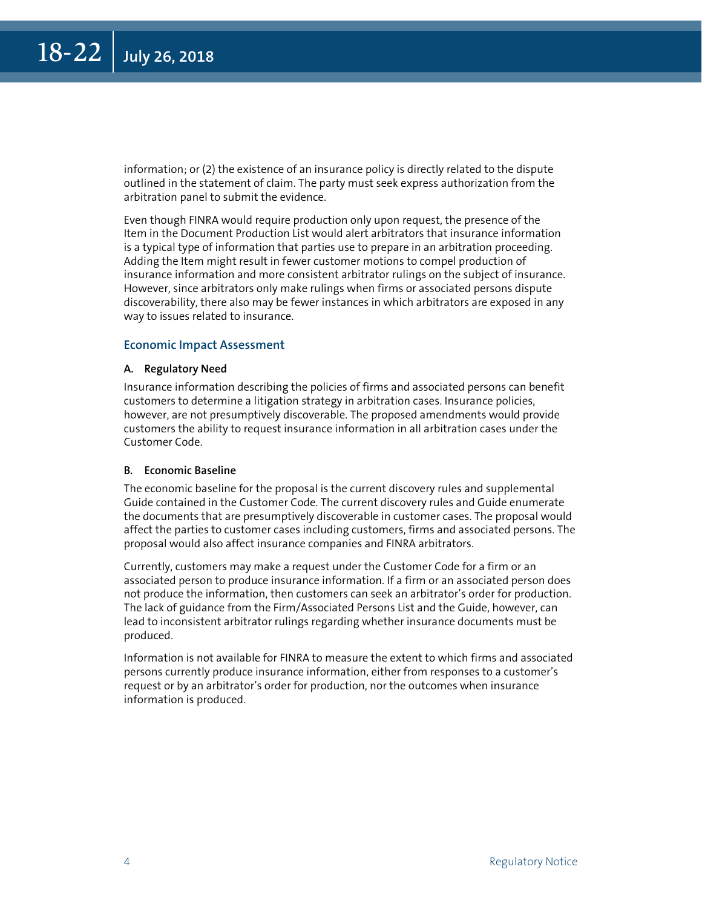information; or (2) the existence of an insurance policy is directly related to the dispute outlined in the statement of claim. The party must seek express authorization from the arbitration panel to submit the evidence.

Even though FINRA would require production only upon request, the presence of the Item in the Document Production List would alert arbitrators that insurance information is a typical type of information that parties use to prepare in an arbitration proceeding. Adding the Item might result in fewer customer motions to compel production of insurance information and more consistent arbitrator rulings on the subject of insurance. However, since arbitrators only make rulings when firms or associated persons dispute discoverability, there also may be fewer instances in which arbitrators are exposed in any way to issues related to insurance.

#### **Economic Impact Assessment**

#### **A. Regulatory Need**

Insurance information describing the policies of firms and associated persons can benefit customers to determine a litigation strategy in arbitration cases. Insurance policies, however, are not presumptively discoverable. The proposed amendments would provide customers the ability to request insurance information in all arbitration cases under the Customer Code.

#### **B. Economic Baseline**

The economic baseline for the proposal is the current discovery rules and supplemental Guide contained in the Customer Code. The current discovery rules and Guide enumerate the documents that are presumptively discoverable in customer cases. The proposal would affect the parties to customer cases including customers, firms and associated persons. The proposal would also affect insurance companies and FINRA arbitrators.

Currently, customers may make a request under the Customer Code for a firm or an associated person to produce insurance information. If a firm or an associated person does not produce the information, then customers can seek an arbitrator's order for production. The lack of guidance from the Firm/Associated Persons List and the Guide, however, can lead to inconsistent arbitrator rulings regarding whether insurance documents must be produced.

Information is not available for FINRA to measure the extent to which firms and associated persons currently produce insurance information, either from responses to a customer's request or by an arbitrator's order for production, nor the outcomes when insurance information is produced.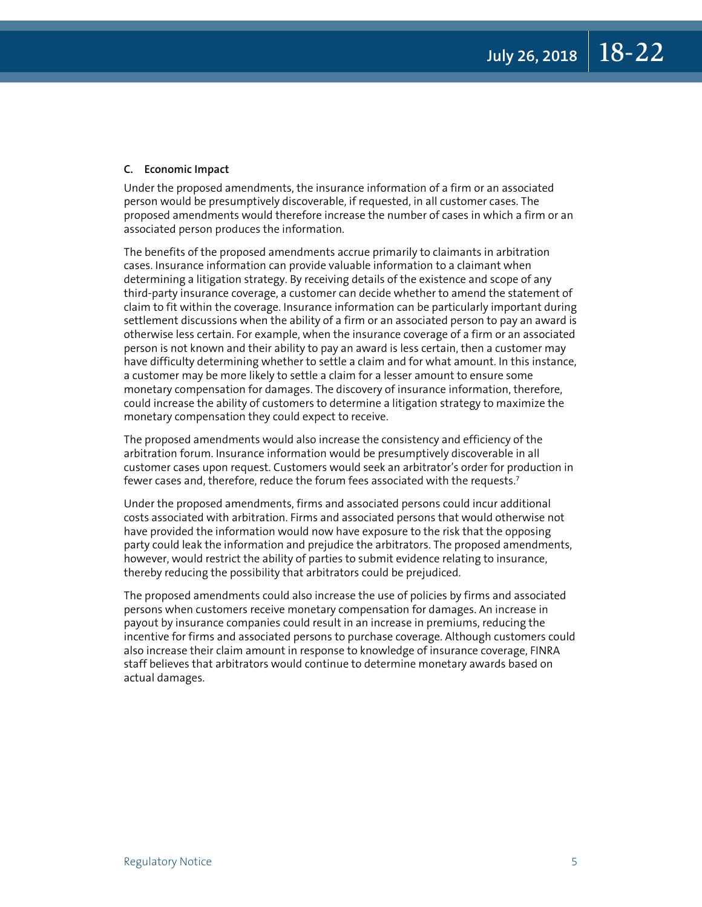#### **C. Economic Impact**

Under the proposed amendments, the insurance information of a firm or an associated person would be presumptively discoverable, if requested, in all customer cases. The proposed amendments would therefore increase the number of cases in which a firm or an associated person produces the information.

The benefits of the proposed amendments accrue primarily to claimants in arbitration cases. Insurance information can provide valuable information to a claimant when determining a litigation strategy. By receiving details of the existence and scope of any third-party insurance coverage, a customer can decide whether to amend the statement of claim to fit within the coverage. Insurance information can be particularly important during settlement discussions when the ability of a firm or an associated person to pay an award is otherwise less certain. For example, when the insurance coverage of a firm or an associated person is not known and their ability to pay an award is less certain, then a customer may have difficulty determining whether to settle a claim and for what amount. In this instance, a customer may be more likely to settle a claim for a lesser amount to ensure some monetary compensation for damages. The discovery of insurance information, therefore, could increase the ability of customers to determine a litigation strategy to maximize the monetary compensation they could expect to receive.

The proposed amendments would also increase the consistency and efficiency of the arbitration forum. Insurance information would be presumptively discoverable in all customer cases upon request. Customers would seek an arbitrator's order for production in fewer cases and, therefore, reduce the forum fees associated with the requests.<sup>7</sup>

Under the proposed amendments, firms and associated persons could incur additional costs associated with arbitration. Firms and associated persons that would otherwise not have provided the information would now have exposure to the risk that the opposing party could leak the information and prejudice the arbitrators. The proposed amendments, however, would restrict the ability of parties to submit evidence relating to insurance, thereby reducing the possibility that arbitrators could be prejudiced.

The proposed amendments could also increase the use of policies by firms and associated persons when customers receive monetary compensation for damages. An increase in payout by insurance companies could result in an increase in premiums, reducing the incentive for firms and associated persons to purchase coverage. Although customers could also increase their claim amount in response to knowledge of insurance coverage, FINRA staff believes that arbitrators would continue to determine monetary awards based on actual damages.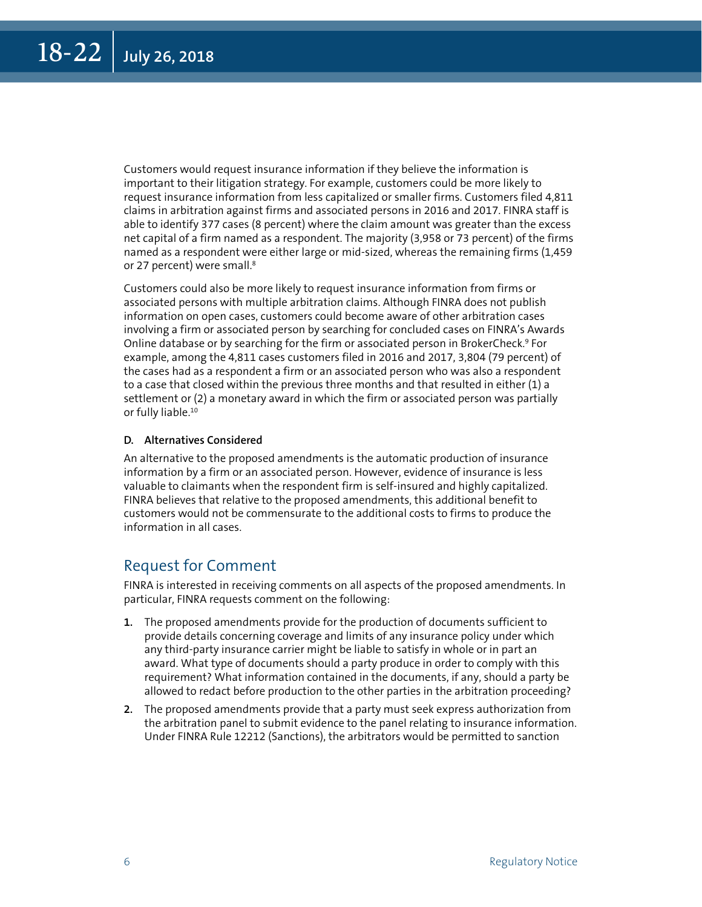Customers would request insurance information if they believe the information is important to their litigation strategy. For example, customers could be more likely to request insurance information from less capitalized or smaller firms. Customers filed 4,811 claims in arbitration against firms and associated persons in 2016 and 2017. FINRA staff is able to identify 377 cases (8 percent) where the claim amount was greater than the excess net capital of a firm named as a respondent. The majority (3,958 or 73 percent) of the firms named as a respondent were either large or mid-sized, whereas the remaining firms (1,459 or 27 percent) were small.<sup>8</sup>

Customers could also be more likely to request insurance information from firms or associated persons with multiple arbitration claims. Although FINRA does not publish information on open cases, customers could become aware of other arbitration cases involving a firm or associated person by searching for concluded cases on FINRA's Awards Online database or by searching for the firm or associated person in BrokerCheck.9 For example, among the 4,811 cases customers filed in 2016 and 2017, 3,804 (79 percent) of the cases had as a respondent a firm or an associated person who was also a respondent to a case that closed within the previous three months and that resulted in either (1) a settlement or (2) a monetary award in which the firm or associated person was partially or fully liable.<sup>10</sup>

#### **D. Alternatives Considered**

An alternative to the proposed amendments is the automatic production of insurance information by a firm or an associated person. However, evidence of insurance is less valuable to claimants when the respondent firm is self-insured and highly capitalized. FINRA believes that relative to the proposed amendments, this additional benefit to customers would not be commensurate to the additional costs to firms to produce the information in all cases.

#### Request for Comment

FINRA is interested in receiving comments on all aspects of the proposed amendments. In particular, FINRA requests comment on the following:

- **1.** The proposed amendments provide for the production of documents sufficient to provide details concerning coverage and limits of any insurance policy under which any third-party insurance carrier might be liable to satisfy in whole or in part an award. What type of documents should a party produce in order to comply with this requirement? What information contained in the documents, if any, should a party be allowed to redact before production to the other parties in the arbitration proceeding?
- **2.** The proposed amendments provide that a party must seek express authorization from the arbitration panel to submit evidence to the panel relating to insurance information. Under FINRA Rule 12212 (Sanctions), the arbitrators would be permitted to sanction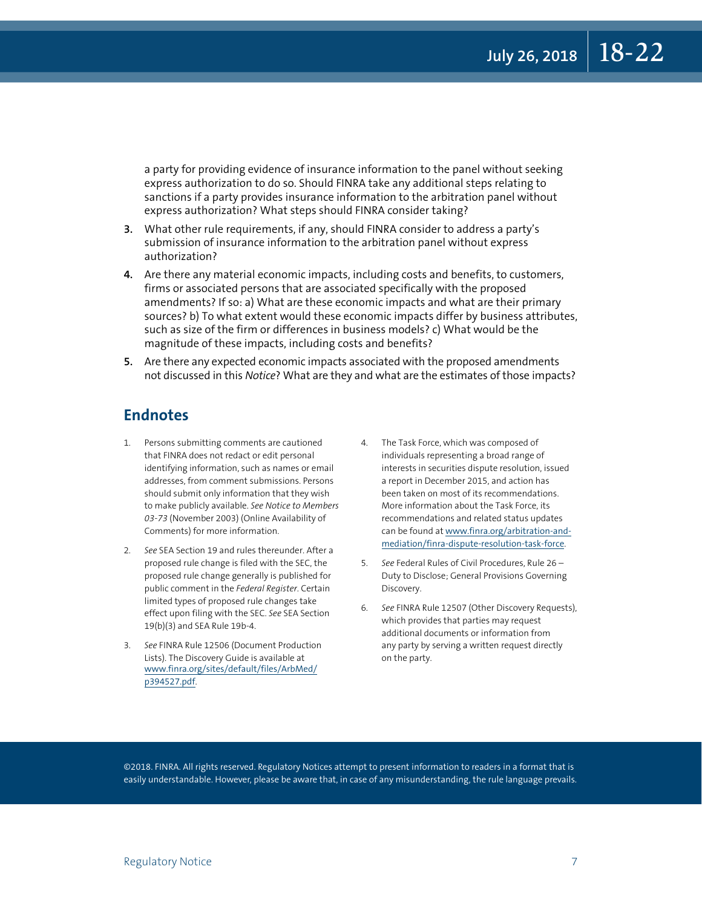a party for providing evidence of insurance information to the panel without seeking express authorization to do so. Should FINRA take any additional steps relating to sanctions if a party provides insurance information to the arbitration panel without express authorization? What steps should FINRA consider taking?

- **3.** What other rule requirements, if any, should FINRA consider to address a party's submission of insurance information to the arbitration panel without express authorization?
- **4.** Are there any material economic impacts, including costs and benefits, to customers, firms or associated persons that are associated specifically with the proposed amendments? If so: a) What are these economic impacts and what are their primary sources? b) To what extent would these economic impacts differ by business attributes, such as size of the firm or differences in business models? c) What would be the magnitude of these impacts, including costs and benefits?
- **5.** Are there any expected economic impacts associated with the proposed amendments not discussed in this *Notice*? What are they and what are the estimates of those impacts?

#### **Endnotes**

- 1. Persons submitting comments are cautioned that FINRA does not redact or edit personal identifying information, such as names or email addresses, from comment submissions. Persons should submit only information that they wish to make publicly available. *See Notice to Members 03-73* (November 2003) (Online Availability of Comments) for more information.
- 2. *See* SEA Section 19 and rules thereunder. After a proposed rule change is filed with the SEC, the proposed rule change generally is published for public comment in the *Federal Register*. Certain limited types of proposed rule changes take effect upon filing with the SEC. *See* SEA Section 19(b)(3) and SEA Rule 19b-4.
- 3. *See* FINRA Rule 12506 (Document Production Lists). The Discovery Guide is available at [www.finra.org/sites/default/files/ArbMed/](file:///Users/massem/Desktop/www.finra.org/sites/default/files/ArbMed/p394527.pdf) [p394527.pdf](file:///Users/massem/Desktop/www.finra.org/sites/default/files/ArbMed/p394527.pdf).
- 4. The Task Force, which was composed of individuals representing a broad range of interests in securities dispute resolution, issued a report in December 2015, and action has been taken on most of its recommendations. More information about the Task Force, its recommendations and related status updates can be found at [www.finra.org/arbitration-and](file:///Users/massem/Desktop/www.finra.org/arbitration-and-mediation/finra-dispute-resolution-task-force)[mediation/finra-dispute-resolution-task-force](file:///Users/massem/Desktop/www.finra.org/arbitration-and-mediation/finra-dispute-resolution-task-force).
- 5. *See* Federal Rules of Civil Procedures, Rule 26 Duty to Disclose; General Provisions Governing Discovery.
- See FINRA Rule 12507 (Other Discovery Requests), which provides that parties may request additional documents or information from any party by serving a written request directly on the party.

©2018. FINRA. All rights reserved. Regulatory Notices attempt to present information to readers in a format that is easily understandable. However, please be aware that, in case of any misunderstanding, the rule language prevails.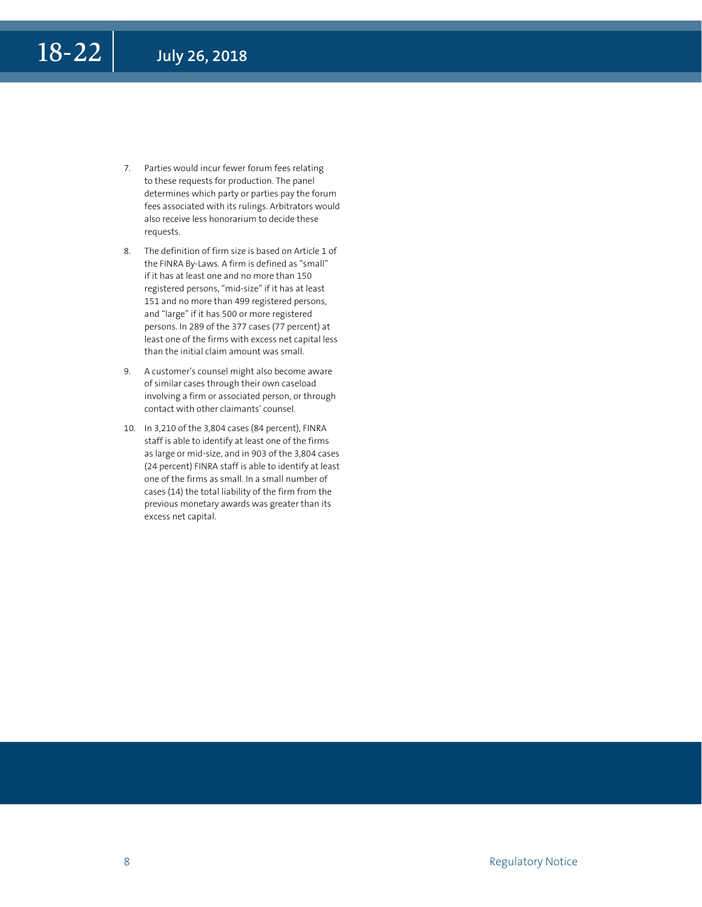- 7. Parties would incur fewer forum fees relating to these requests for production. The panel determines which party or parties pay the forum fees associated with its rulings. Arbitrators would also receive less honorarium to decide these requests.
- 8. The definition of firm size is based on Article 1 of the FINRA By-Laws. A firm is defined as "small" if it has at least one and no more than 150 registered persons, "mid-size" if it has at least 151 and no more than 499 registered persons, and "large" if it has 500 or more registered persons. In 289 of the 377 cases (77 percent) at least one of the firms with excess net capital less than the initial claim amount was small.
- 9. A customer's counsel might also become aware of similar cases through their own caseload involving a firm or associated person, or through contact with other claimants' counsel.
- 10. In 3,210 of the 3,804 cases (84 percent), FINRA staff is able to identify at least one of the firms as large or mid-size, and in 903 of the 3,804 cases (24 percent) FINRA staff is able to identify at least one of the firms as small. In a small number of cases (14) the total liability of the firm from the previous monetary awards was greater than its excess net capital.